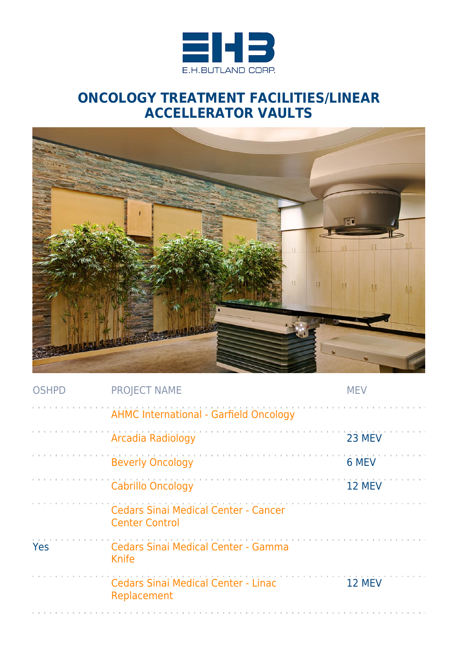

## **ONCOLOGY TREATMENT FACILITIES/LINEAR ACCELLERATOR VAULTS**



| <b>OSHPD</b> | <b>PROJECT NAME</b>                                                  | <b>MEV</b> |
|--------------|----------------------------------------------------------------------|------------|
|              | <b>AHMC International - Garfield Oncology</b>                        |            |
|              | <b>Arcadia Radiology</b>                                             | 23 MEV     |
|              | <b>Beverly Oncology</b>                                              | 6 MEV      |
|              | <b>Cabrillo Oncology</b>                                             | 12 MEV     |
|              | <b>Cedars Sinai Medical Center - Cancer</b><br><b>Center Control</b> |            |
| Yes          | Cedars Sinai Medical Center - Gamma<br>Knife                         |            |
|              | <b>Cedars Sinai Medical Center - Linac</b><br>Replacement            | 12 MEV     |
|              |                                                                      |            |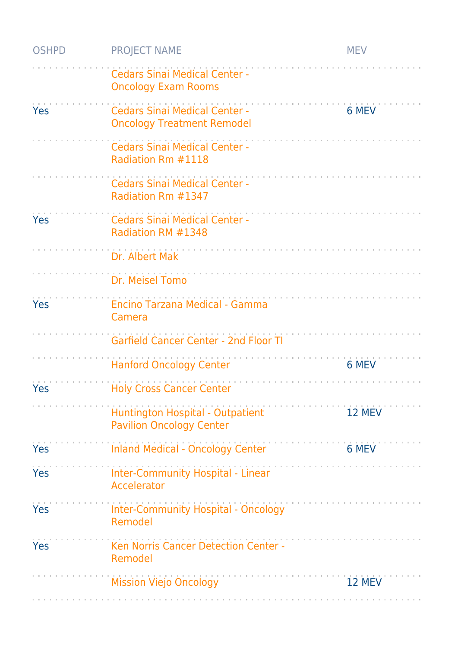| <b>OSHPD</b> | <b>PROJECT NAME</b>                                                       | <b>MEV</b> |
|--------------|---------------------------------------------------------------------------|------------|
|              | <b>Cedars Sinai Medical Center -</b><br><b>Oncology Exam Rooms</b>        |            |
| Yes          | <b>Cedars Sinai Medical Center -</b><br><b>Oncology Treatment Remodel</b> | 6 MEV      |
|              | <b>Cedars Sinai Medical Center -</b><br>Radiation Rm #1118                |            |
|              | <b>Cedars Sinai Medical Center -</b><br>Radiation Rm #1347                |            |
| Yes          | <b>Cedars Sinai Medical Center -</b><br>Radiation RM #1348                |            |
|              | Dr. Albert Mak                                                            |            |
|              | Dr. Meisel Tomo                                                           |            |
| Yes          | Encino Tarzana Medical - Gamma<br>Camera                                  |            |
|              | <b>Garfield Cancer Center - 2nd Floor TI</b>                              |            |
|              | <b>Hanford Oncology Center</b>                                            | 6 MEV      |
| Yes          | <b>Holy Cross Cancer Center</b>                                           |            |
|              | Huntington Hospital - Outpatient<br><b>Pavilion Oncology Center</b>       | 12 MEV     |
| Yes          | <b>Inland Medical - Oncology Center</b>                                   | 6 MEV      |
| <b>Yes</b>   | <b>Inter-Community Hospital - Linear</b><br>Accelerator                   |            |
| <b>Yes</b>   | <b>Inter-Community Hospital - Oncology</b><br>Remodel                     |            |
| Yes          | Ken Norris Cancer Detection Center -<br>Remodel                           |            |
|              | <b>Mission Viejo Oncology</b>                                             | 12 MEV     |
|              |                                                                           |            |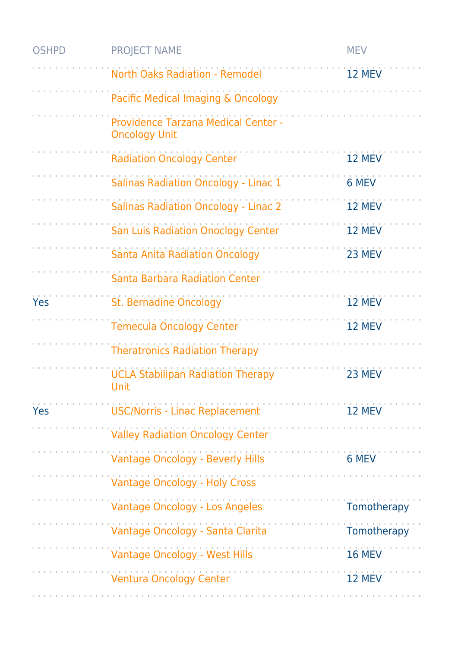| <b>OSHPD</b> | <b>PROJECT NAME</b>                                         | <b>MEV</b>    |
|--------------|-------------------------------------------------------------|---------------|
|              | <b>North Oaks Radiation - Remodel</b>                       | 12 MEV        |
|              | Pacific Medical Imaging & Oncology                          |               |
|              | Providence Tarzana Medical Center -<br><b>Oncology Unit</b> |               |
|              | <b>Radiation Oncology Center</b>                            | 12 MEV        |
|              | <b>Salinas Radiation Oncology - Linac 1</b>                 | 6 MEV         |
|              | <b>Salinas Radiation Oncology - Linac 2</b>                 | 12 MEV        |
|              | <b>San Luis Radiation Onoclogy Center</b>                   | 12 MEV        |
|              | <b>Santa Anita Radiation Oncology</b>                       | 23 MEV        |
|              | Santa Barbara Radiation Center                              |               |
| <b>Yes</b>   | <b>St. Bernadine Oncology</b>                               | 12 MEV        |
|              | <b>Temecula Oncology Center</b>                             | 12 MEV        |
|              | <b>Theratronics Radiation Therapy</b>                       |               |
|              | <b>UCLA Stabilipan Radiation Therapy</b><br><b>Unit</b>     | 23 MEV        |
| Yes          | <b>USC/Norris - Linac Replacement</b>                       | 12 MEV        |
|              | <b>Valley Radiation Oncology Center</b>                     |               |
|              | <b>Vantage Oncology - Beverly Hills</b>                     | 6 MEV         |
|              | <b>Vantage Oncology - Holy Cross</b>                        |               |
|              | Vantage Oncology - Los Angeles                              | Tomotherapy   |
|              | Vantage Oncology - Santa Clarita                            | Tomotherapy   |
|              | Vantage Oncology - West Hills                               | <b>16 MEV</b> |
|              | <b>Ventura Oncology Center</b>                              | 12 MEV        |
|              |                                                             |               |